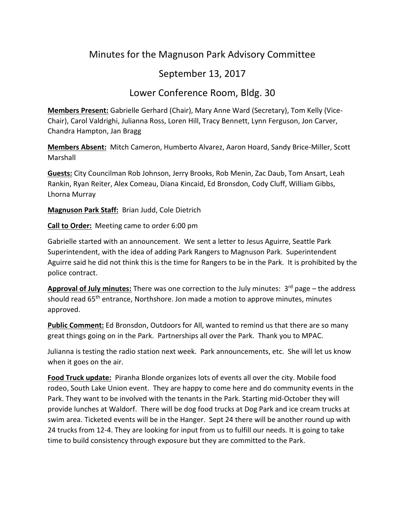## Minutes for the Magnuson Park Advisory Committee

## September 13, 2017

## Lower Conference Room, Bldg. 30

**Members Present:** Gabrielle Gerhard (Chair), Mary Anne Ward (Secretary), Tom Kelly (Vice-Chair), Carol Valdrighi, Julianna Ross, Loren Hill, Tracy Bennett, Lynn Ferguson, Jon Carver, Chandra Hampton, Jan Bragg

**Members Absent:** Mitch Cameron, Humberto Alvarez, Aaron Hoard, Sandy Brice-Miller, Scott Marshall

**Guests:** City Councilman Rob Johnson, Jerry Brooks, Rob Menin, Zac Daub, Tom Ansart, Leah Rankin, Ryan Reiter, Alex Comeau, Diana Kincaid, Ed Bronsdon, Cody Cluff, William Gibbs, Lhorna Murray

**Magnuson Park Staff:** Brian Judd, Cole Dietrich

**Call to Order:** Meeting came to order 6:00 pm

Gabrielle started with an announcement. We sent a letter to Jesus Aguirre, Seattle Park Superintendent, with the idea of adding Park Rangers to Magnuson Park. Superintendent Aguirre said he did not think this is the time for Rangers to be in the Park. It is prohibited by the police contract.

Approval of July minutes: There was one correction to the July minutes: 3<sup>rd</sup> page – the address should read 65<sup>th</sup> entrance, Northshore. Jon made a motion to approve minutes, minutes approved.

**Public Comment:** Ed Bronsdon, Outdoors for All, wanted to remind us that there are so many great things going on in the Park. Partnerships all over the Park. Thank you to MPAC.

Julianna is testing the radio station next week. Park announcements, etc. She will let us know when it goes on the air.

**Food Truck update:** Piranha Blonde organizes lots of events all over the city. Mobile food rodeo, South Lake Union event. They are happy to come here and do community events in the Park. They want to be involved with the tenants in the Park. Starting mid-October they will provide lunches at Waldorf. There will be dog food trucks at Dog Park and ice cream trucks at swim area. Ticketed events will be in the Hanger. Sept 24 there will be another round up with 24 trucks from 12-4. They are looking for input from us to fulfill our needs. It is going to take time to build consistency through exposure but they are committed to the Park.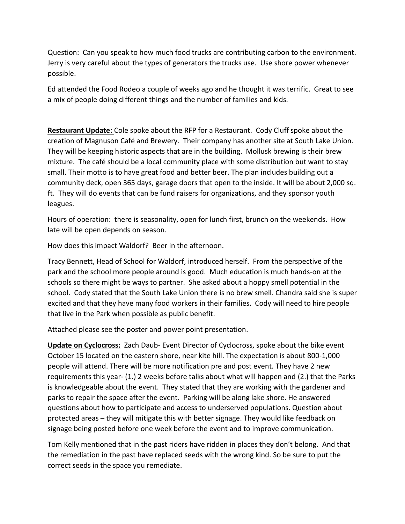Question: Can you speak to how much food trucks are contributing carbon to the environment. Jerry is very careful about the types of generators the trucks use. Use shore power whenever possible.

Ed attended the Food Rodeo a couple of weeks ago and he thought it was terrific. Great to see a mix of people doing different things and the number of families and kids.

**Restaurant Update:** Cole spoke about the RFP for a Restaurant. Cody Cluff spoke about the creation of Magnuson Café and Brewery. Their company has another site at South Lake Union. They will be keeping historic aspects that are in the building. Mollusk brewing is their brew mixture. The café should be a local community place with some distribution but want to stay small. Their motto is to have great food and better beer. The plan includes building out a community deck, open 365 days, garage doors that open to the inside. It will be about 2,000 sq. ft. They will do events that can be fund raisers for organizations, and they sponsor youth leagues.

Hours of operation: there is seasonality, open for lunch first, brunch on the weekends. How late will be open depends on season.

How does this impact Waldorf? Beer in the afternoon.

Tracy Bennett, Head of School for Waldorf, introduced herself. From the perspective of the park and the school more people around is good. Much education is much hands-on at the schools so there might be ways to partner. She asked about a hoppy smell potential in the school. Cody stated that the South Lake Union there is no brew smell. Chandra said she is super excited and that they have many food workers in their families. Cody will need to hire people that live in the Park when possible as public benefit.

Attached please see the poster and power point presentation.

**Update on Cyclocross:** Zach Daub- Event Director of Cyclocross, spoke about the bike event October 15 located on the eastern shore, near kite hill. The expectation is about 800-1,000 people will attend. There will be more notification pre and post event. They have 2 new requirements this year- (1.) 2 weeks before talks about what will happen and (2.) that the Parks is knowledgeable about the event. They stated that they are working with the gardener and parks to repair the space after the event. Parking will be along lake shore. He answered questions about how to participate and access to underserved populations. Question about protected areas – they will mitigate this with better signage. They would like feedback on signage being posted before one week before the event and to improve communication.

Tom Kelly mentioned that in the past riders have ridden in places they don't belong. And that the remediation in the past have replaced seeds with the wrong kind. So be sure to put the correct seeds in the space you remediate.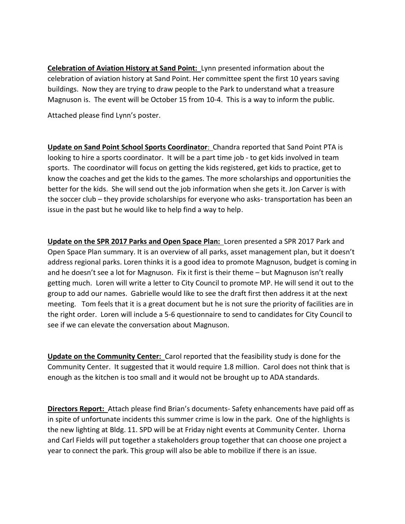**Celebration of Aviation History at Sand Point:** Lynn presented information about the celebration of aviation history at Sand Point. Her committee spent the first 10 years saving buildings. Now they are trying to draw people to the Park to understand what a treasure Magnuson is. The event will be October 15 from 10-4. This is a way to inform the public.

Attached please find Lynn's poster.

**Update on Sand Point School Sports Coordinator**: Chandra reported that Sand Point PTA is looking to hire a sports coordinator. It will be a part time job - to get kids involved in team sports. The coordinator will focus on getting the kids registered, get kids to practice, get to know the coaches and get the kids to the games. The more scholarships and opportunities the better for the kids. She will send out the job information when she gets it. Jon Carver is with the soccer club – they provide scholarships for everyone who asks- transportation has been an issue in the past but he would like to help find a way to help.

**Update on the SPR 2017 Parks and Open Space Plan:** Loren presented a SPR 2017 Park and Open Space Plan summary. It is an overview of all parks, asset management plan, but it doesn't address regional parks. Loren thinks it is a good idea to promote Magnuson, budget is coming in and he doesn't see a lot for Magnuson. Fix it first is their theme – but Magnuson isn't really getting much. Loren will write a letter to City Council to promote MP. He will send it out to the group to add our names. Gabrielle would like to see the draft first then address it at the next meeting. Tom feels that it is a great document but he is not sure the priority of facilities are in the right order. Loren will include a 5-6 questionnaire to send to candidates for City Council to see if we can elevate the conversation about Magnuson.

**Update on the Community Center:** Carol reported that the feasibility study is done for the Community Center. It suggested that it would require 1.8 million. Carol does not think that is enough as the kitchen is too small and it would not be brought up to ADA standards.

**Directors Report:** Attach please find Brian's documents- Safety enhancements have paid off as in spite of unfortunate incidents this summer crime is low in the park. One of the highlights is the new lighting at Bldg. 11. SPD will be at Friday night events at Community Center. Lhorna and Carl Fields will put together a stakeholders group together that can choose one project a year to connect the park. This group will also be able to mobilize if there is an issue.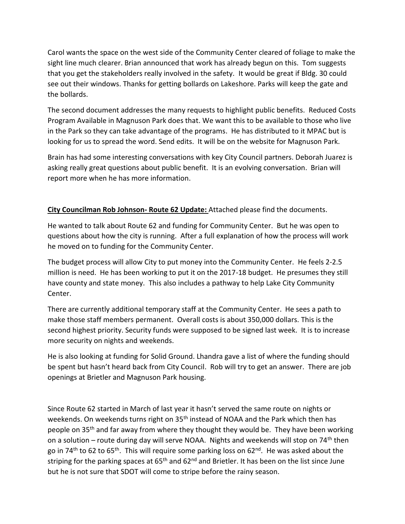Carol wants the space on the west side of the Community Center cleared of foliage to make the sight line much clearer. Brian announced that work has already begun on this. Tom suggests that you get the stakeholders really involved in the safety. It would be great if Bldg. 30 could see out their windows. Thanks for getting bollards on Lakeshore. Parks will keep the gate and the bollards.

The second document addresses the many requests to highlight public benefits. Reduced Costs Program Available in Magnuson Park does that. We want this to be available to those who live in the Park so they can take advantage of the programs. He has distributed to it MPAC but is looking for us to spread the word. Send edits. It will be on the website for Magnuson Park.

Brain has had some interesting conversations with key City Council partners. Deborah Juarez is asking really great questions about public benefit. It is an evolving conversation. Brian will report more when he has more information.

## **City Councilman Rob Johnson- Route 62 Update:** Attached please find the documents.

He wanted to talk about Route 62 and funding for Community Center. But he was open to questions about how the city is running. After a full explanation of how the process will work he moved on to funding for the Community Center.

The budget process will allow City to put money into the Community Center. He feels 2-2.5 million is need. He has been working to put it on the 2017-18 budget. He presumes they still have county and state money. This also includes a pathway to help Lake City Community Center.

There are currently additional temporary staff at the Community Center. He sees a path to make those staff members permanent. Overall costs is about 350,000 dollars. This is the second highest priority. Security funds were supposed to be signed last week. It is to increase more security on nights and weekends.

He is also looking at funding for Solid Ground. Lhandra gave a list of where the funding should be spent but hasn't heard back from City Council. Rob will try to get an answer. There are job openings at Brietler and Magnuson Park housing.

Since Route 62 started in March of last year it hasn't served the same route on nights or weekends. On weekends turns right on 35<sup>th</sup> instead of NOAA and the Park which then has people on 35<sup>th</sup> and far away from where they thought they would be. They have been working on a solution – route during day will serve NOAA. Nights and weekends will stop on  $74<sup>th</sup>$  then go in 74<sup>th</sup> to 62 to 65<sup>th</sup>. This will require some parking loss on 62<sup>nd</sup>. He was asked about the striping for the parking spaces at 65<sup>th</sup> and 62<sup>nd</sup> and Brietler. It has been on the list since June but he is not sure that SDOT will come to stripe before the rainy season.